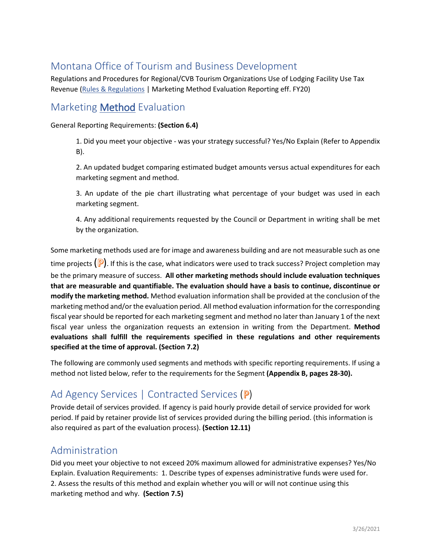# Montana Office of Tourism and Business Development

Regulations and Procedures for Regional/CVB Tourism Organizations Use of Lodging Facility Use Tax Revenue [\(Rules & Regulations](https://marketmt.com/Portals/129/shared/RegionsCVBs/docs/Resource%20Page/2019%20MCA%20Region.CVB%20Regulations.pdf?ver=2019-10-09-105822-917) | Marketing Method Evaluation Reporting eff. FY20)

### Marketing Method Evaluation

General Reporting Requirements: **(Section 6.4)**

1. Did you meet your objective - was your strategy successful? Yes/No Explain (Refer to Appendix B).

2. An updated budget comparing estimated budget amounts versus actual expenditures for each marketing segment and method.

3. An update of the pie chart illustrating what percentage of your budget was used in each marketing segment.

4. Any additional requirements requested by the Council or Department in writing shall be met by the organization.

Some marketing methods used are for image and awareness building and are not measurable such as one time projects  $(\mathbb{P})$ . If this is the case, what indicators were used to track success? Project completion may be the primary measure of success. **All other marketing methods should include evaluation techniques that are measurable and quantifiable. The evaluation should have a basis to continue, discontinue or modify the marketing method.** Method evaluation information shall be provided at the conclusion of the marketing method and/or the evaluation period. All method evaluation information for the corresponding fiscal year should be reported for each marketing segment and method no later than January 1 of the next fiscal year unless the organization requests an extension in writing from the Department. **Method evaluations shall fulfill the requirements specified in these regulations and other requirements specified at the time of approval. (Section 7.2)**

The following are commonly used segments and methods with specific reporting requirements. If using a method not listed below, refer to the requirements for the Segment **(Appendix B, pages 28-30).**

# Ad Agency Services | Contracted Services (P)

Provide detail of services provided. If agency is paid hourly provide detail of service provided for work period. If paid by retainer provide list of services provided during the billing period. (this information is also required as part of the evaluation process). **(Section 12.11)**

#### Administration

Did you meet your objective to not exceed 20% maximum allowed for administrative expenses? Yes/No Explain. Evaluation Requirements: 1. Describe types of expenses administrative funds were used for. 2. Assess the results of this method and explain whether you will or will not continue using this marketing method and why. **(Section 7.5)**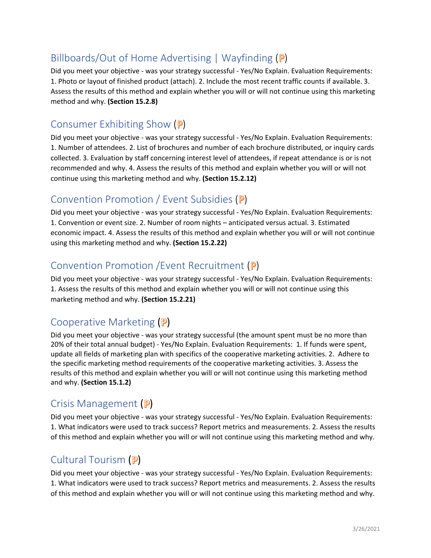# Billboards/Out of Home Advertising  $|$  Wayfinding  $(P)$

Did you meet your objective - was your strategy successful - Yes/No Explain. Evaluation Requirements: 1. Photo or layout of finished product (attach). 2. Include the most recent traffic counts if available. 3. Assess the results of this method and explain whether you will or will not continue using this marketing method and why. **(Section 15.2.8)**

#### Consumer Exhibiting Show (P)

Did you meet your objective - was your strategy successful - Yes/No Explain. Evaluation Requirements: 1. Number of attendees. 2. List of brochures and number of each brochure distributed, or inquiry cards collected. 3. Evaluation by staff concerning interest level of attendees, if repeat attendance is or is not recommended and why. 4. Assess the results of this method and explain whether you will or will not continue using this marketing method and why. **(Section 15.2.12)**

#### Convention Promotion / Event Subsidies (P)

Did you meet your objective - was your strategy successful - Yes/No Explain. Evaluation Requirements: 1. Convention or event size. 2. Number of room nights – anticipated versus actual. 3. Estimated economic impact. 4. Assess the results of this method and explain whether you will or will not continue using this marketing method and why. **(Section 15.2.22)**

#### Convention Promotion / Event Recruitment (P)

Did you meet your objective - was your strategy successful - Yes/No Explain. Evaluation Requirements: 1. Assess the results of this method and explain whether you will or will not continue using this marketing method and why. **(Section 15.2.21)**

#### Cooperative Marketing (P)

Did you meet your objective - was your strategy successful (the amount spent must be no more than 20% of their total annual budget) - Yes/No Explain. Evaluation Requirements: 1. If funds were spent, update all fields of marketing plan with specifics of the cooperative marketing activities. 2. Adhere to the specific marketing method requirements of the cooperative marketing activities. 3. Assess the results of this method and explain whether you will or will not continue using this marketing method and why. **(Section 15.1.2)**

#### Crisis Management (P)

Did you meet your objective - was your strategy successful - Yes/No Explain. Evaluation Requirements: 1. What indicators were used to track success? Report metrics and measurements. 2. Assess the results of this method and explain whether you will or will not continue using this marketing method and why.

#### Cultural Tourism (P)

Did you meet your objective - was your strategy successful - Yes/No Explain. Evaluation Requirements: 1. What indicators were used to track success? Report metrics and measurements. 2. Assess the results of this method and explain whether you will or will not continue using this marketing method and why.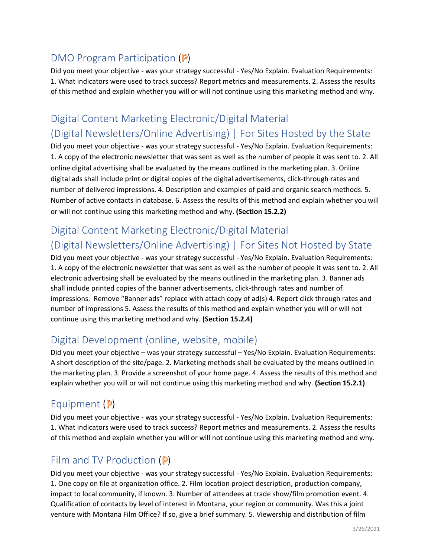# DMO Program Participation  $(P)$

Did you meet your objective - was your strategy successful - Yes/No Explain. Evaluation Requirements: 1. What indicators were used to track success? Report metrics and measurements. 2. Assess the results of this method and explain whether you will or will not continue using this marketing method and why.

# Digital Content Marketing Electronic/Digital Material (Digital Newsletters/Online Advertising) | For Sites Hosted by the State

Did you meet your objective - was your strategy successful - Yes/No Explain. Evaluation Requirements: 1. A copy of the electronic newsletter that was sent as well as the number of people it was sent to. 2. All online digital advertising shall be evaluated by the means outlined in the marketing plan. 3. Online digital ads shall include print or digital copies of the digital advertisements, click-through rates and number of delivered impressions. 4. Description and examples of paid and organic search methods. 5. Number of active contacts in database. 6. Assess the results of this method and explain whether you will or will not continue using this marketing method and why. **(Section 15.2.2)**

# Digital Content Marketing Electronic/Digital Material (Digital Newsletters/Online Advertising) | For Sites Not Hosted by State

Did you meet your objective - was your strategy successful - Yes/No Explain. Evaluation Requirements: 1. A copy of the electronic newsletter that was sent as well as the number of people it was sent to. 2. All electronic advertising shall be evaluated by the means outlined in the marketing plan. 3. Banner ads shall include printed copies of the banner advertisements, click-through rates and number of impressions. Remove "Banner ads" replace with attach copy of ad(s) 4. Report click through rates and number of impressions 5. Assess the results of this method and explain whether you will or will not continue using this marketing method and why. **(Section 15.2.4)**

# Digital Development (online, website, mobile)

Did you meet your objective – was your strategy successful – Yes/No Explain. Evaluation Requirements: A short description of the site/page. 2. Marketing methods shall be evaluated by the means outlined in the marketing plan. 3. Provide a screenshot of your home page. 4. Assess the results of this method and explain whether you will or will not continue using this marketing method and why. **(Section 15.2.1)**

# Equipment  $(P)$

Did you meet your objective - was your strategy successful - Yes/No Explain. Evaluation Requirements: 1. What indicators were used to track success? Report metrics and measurements. 2. Assess the results of this method and explain whether you will or will not continue using this marketing method and why.

# Film and TV Production  $(P)$

Did you meet your objective - was your strategy successful - Yes/No Explain. Evaluation Requirements: 1. One copy on file at organization office. 2. Film location project description, production company, impact to local community, if known. 3. Number of attendees at trade show/film promotion event. 4. Qualification of contacts by level of interest in Montana, your region or community. Was this a joint venture with Montana Film Office? If so, give a brief summary. 5. Viewership and distribution of film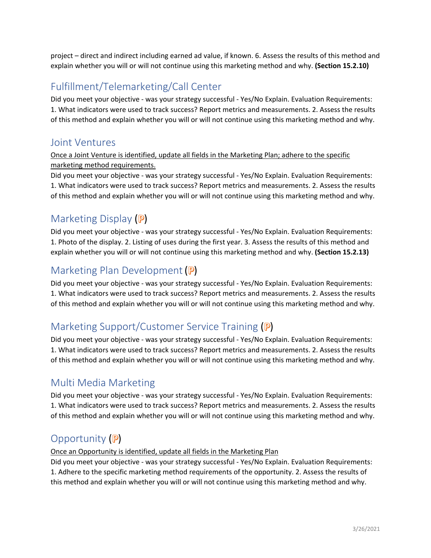project – direct and indirect including earned ad value, if known. 6. Assess the results of this method and explain whether you will or will not continue using this marketing method and why. **(Section 15.2.10)**

# Fulfillment/Telemarketing/Call Center

Did you meet your objective - was your strategy successful - Yes/No Explain. Evaluation Requirements: 1. What indicators were used to track success? Report metrics and measurements. 2. Assess the results of this method and explain whether you will or will not continue using this marketing method and why.

#### Joint Ventures

Once a Joint Venture is identified, update all fields in the Marketing Plan; adhere to the specific marketing method requirements.

Did you meet your objective - was your strategy successful - Yes/No Explain. Evaluation Requirements: 1. What indicators were used to track success? Report metrics and measurements. 2. Assess the results of this method and explain whether you will or will not continue using this marketing method and why.

# Marketing Display (P)

Did you meet your objective - was your strategy successful - Yes/No Explain. Evaluation Requirements: 1. Photo of the display. 2. Listing of uses during the first year. 3. Assess the results of this method and explain whether you will or will not continue using this marketing method and why. **(Section 15.2.13)**

### Marketing Plan Development (P)

Did you meet your objective - was your strategy successful - Yes/No Explain. Evaluation Requirements: 1. What indicators were used to track success? Report metrics and measurements. 2. Assess the results of this method and explain whether you will or will not continue using this marketing method and why.

# Marketing Support/Customer Service Training (P)

Did you meet your objective - was your strategy successful - Yes/No Explain. Evaluation Requirements: 1. What indicators were used to track success? Report metrics and measurements. 2. Assess the results of this method and explain whether you will or will not continue using this marketing method and why.

# Multi Media Marketing

Did you meet your objective - was your strategy successful - Yes/No Explain. Evaluation Requirements: 1. What indicators were used to track success? Report metrics and measurements. 2. Assess the results of this method and explain whether you will or will not continue using this marketing method and why.

# Opportunity  $(P)$

#### Once an Opportunity is identified, update all fields in the Marketing Plan

Did you meet your objective - was your strategy successful - Yes/No Explain. Evaluation Requirements: 1. Adhere to the specific marketing method requirements of the opportunity. 2. Assess the results of this method and explain whether you will or will not continue using this marketing method and why.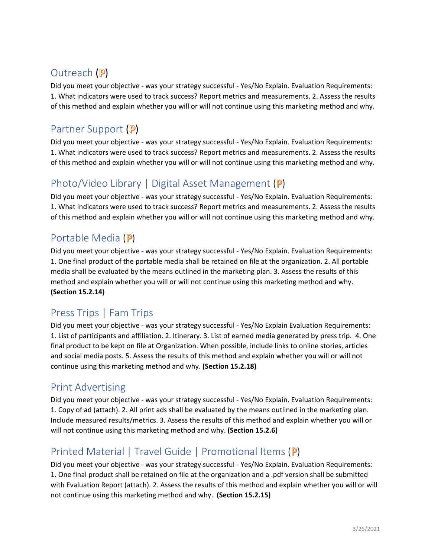# Outreach (P)

Did you meet your objective - was your strategy successful - Yes/No Explain. Evaluation Requirements: 1. What indicators were used to track success? Report metrics and measurements. 2. Assess the results of this method and explain whether you will or will not continue using this marketing method and why.

# Partner Support (P)

Did you meet your objective - was your strategy successful - Yes/No Explain. Evaluation Requirements: 1. What indicators were used to track success? Report metrics and measurements. 2. Assess the results of this method and explain whether you will or will not continue using this marketing method and why.

### Photo/Video Library | Digital Asset Management ( $P$ )

Did you meet your objective - was your strategy successful - Yes/No Explain. Evaluation Requirements: 1. What indicators were used to track success? Report metrics and measurements. 2. Assess the results of this method and explain whether you will or will not continue using this marketing method and why.

#### Portable Media (P)

Did you meet your objective - was your strategy successful - Yes/No Explain. Evaluation Requirements: 1. One final product of the portable media shall be retained on file at the organization. 2. All portable media shall be evaluated by the means outlined in the marketing plan. 3. Assess the results of this method and explain whether you will or will not continue using this marketing method and why. **(Section 15.2.14)**

# Press Trips | Fam Trips

Did you meet your objective - was your strategy successful - Yes/No Explain Evaluation Requirements: 1. List of participants and affiliation. 2. Itinerary. 3. List of earned media generated by press trip. 4. One final product to be kept on file at Organization. When possible, include links to online stories, articles and social media posts. 5. Assess the results of this method and explain whether you will or will not continue using this marketing method and why. **(Section 15.2.18)**

#### Print Advertising

Did you meet your objective - was your strategy successful - Yes/No Explain. Evaluation Requirements: 1. Copy of ad (attach). 2. All print ads shall be evaluated by the means outlined in the marketing plan. Include measured results/metrics. 3. Assess the results of this method and explain whether you will or will not continue using this marketing method and why. **(Section 15.2.6)**

# Printed Material | Travel Guide | Promotional Items (P)

Did you meet your objective - was your strategy successful - Yes/No Explain. Evaluation Requirements: 1. One final product shall be retained on file at the organization and a .pdf version shall be submitted with Evaluation Report (attach). 2. Assess the results of this method and explain whether you will or will not continue using this marketing method and why. **(Section 15.2.15)**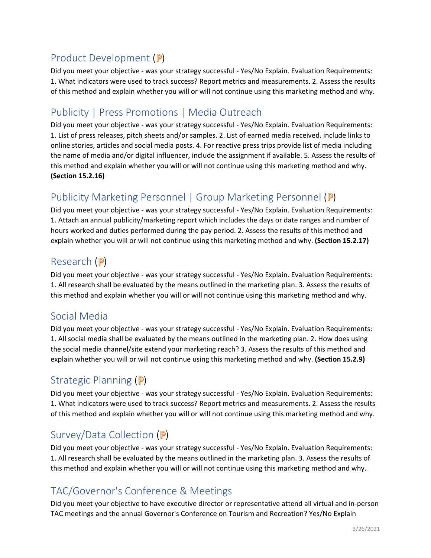# Product Development (P)

Did you meet your objective - was your strategy successful - Yes/No Explain. Evaluation Requirements: 1. What indicators were used to track success? Report metrics and measurements. 2. Assess the results of this method and explain whether you will or will not continue using this marketing method and why.

# Publicity | Press Promotions | Media Outreach

Did you meet your objective - was your strategy successful - Yes/No Explain. Evaluation Requirements: 1. List of press releases, pitch sheets and/or samples. 2. List of earned media received. include links to online stories, articles and social media posts. 4. For reactive press trips provide list of media including the name of media and/or digital influencer, include the assignment if available. 5. Assess the results of this method and explain whether you will or will not continue using this marketing method and why. **(Section 15.2.16)**

# Publicity Marketing Personnel | Group Marketing Personnel (P)

Did you meet your objective - was your strategy successful - Yes/No Explain. Evaluation Requirements: 1. Attach an annual publicity/marketing report which includes the days or date ranges and number of hours worked and duties performed during the pay period. 2. Assess the results of this method and explain whether you will or will not continue using this marketing method and why. **(Section 15.2.17)**

### Research  $(P)$

Did you meet your objective - was your strategy successful - Yes/No Explain. Evaluation Requirements: 1. All research shall be evaluated by the means outlined in the marketing plan. 3. Assess the results of this method and explain whether you will or will not continue using this marketing method and why.

#### Social Media

Did you meet your objective - was your strategy successful - Yes/No Explain. Evaluation Requirements: 1. All social media shall be evaluated by the means outlined in the marketing plan. 2. How does using the social media channel/site extend your marketing reach? 3. Assess the results of this method and explain whether you will or will not continue using this marketing method and why. **(Section 15.2.9)**

# Strategic Planning  $(P)$

Did you meet your objective - was your strategy successful - Yes/No Explain. Evaluation Requirements: 1. What indicators were used to track success? Report metrics and measurements. 2. Assess the results of this method and explain whether you will or will not continue using this marketing method and why.

# Survey/Data Collection (P)

Did you meet your objective - was your strategy successful - Yes/No Explain. Evaluation Requirements: 1. All research shall be evaluated by the means outlined in the marketing plan. 3. Assess the results of this method and explain whether you will or will not continue using this marketing method and why.

# TAC/Governor's Conference & Meetings

Did you meet your objective to have executive director or representative attend all virtual and in-person TAC meetings and the annual Governor's Conference on Tourism and Recreation? Yes/No Explain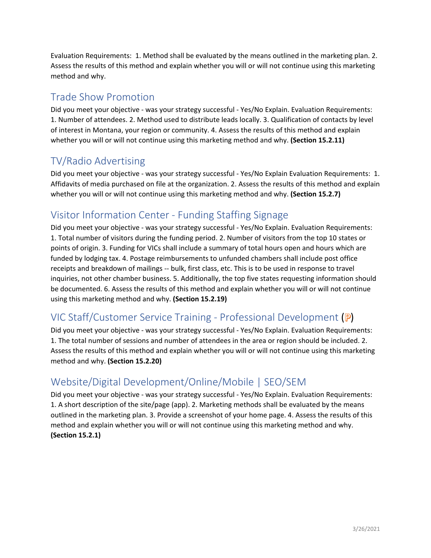Evaluation Requirements: 1. Method shall be evaluated by the means outlined in the marketing plan. 2. Assess the results of this method and explain whether you will or will not continue using this marketing method and why.

### Trade Show Promotion

Did you meet your objective - was your strategy successful - Yes/No Explain. Evaluation Requirements: 1. Number of attendees. 2. Method used to distribute leads locally. 3. Qualification of contacts by level of interest in Montana, your region or community. 4. Assess the results of this method and explain whether you will or will not continue using this marketing method and why. **(Section 15.2.11)**

### TV/Radio Advertising

Did you meet your objective - was your strategy successful - Yes/No Explain Evaluation Requirements: 1. Affidavits of media purchased on file at the organization. 2. Assess the results of this method and explain whether you will or will not continue using this marketing method and why. **(Section 15.2.7)**

### Visitor Information Center - Funding Staffing Signage

Did you meet your objective - was your strategy successful - Yes/No Explain. Evaluation Requirements: 1. Total number of visitors during the funding period. 2. Number of visitors from the top 10 states or points of origin. 3. Funding for VICs shall include a summary of total hours open and hours which are funded by lodging tax. 4. Postage reimbursements to unfunded chambers shall include post office receipts and breakdown of mailings -- bulk, first class, etc. This is to be used in response to travel inquiries, not other chamber business. 5. Additionally, the top five states requesting information should be documented. 6. Assess the results of this method and explain whether you will or will not continue using this marketing method and why. **(Section 15.2.19)**

# VIC Staff/Customer Service Training - Professional Development (P)

Did you meet your objective - was your strategy successful - Yes/No Explain. Evaluation Requirements: 1. The total number of sessions and number of attendees in the area or region should be included. 2. Assess the results of this method and explain whether you will or will not continue using this marketing method and why. **(Section 15.2.20)**

# Website/Digital Development/Online/Mobile | SEO/SEM

Did you meet your objective - was your strategy successful - Yes/No Explain. Evaluation Requirements: 1. A short description of the site/page (app). 2. Marketing methods shall be evaluated by the means outlined in the marketing plan. 3. Provide a screenshot of your home page. 4. Assess the results of this method and explain whether you will or will not continue using this marketing method and why. **(Section 15.2.1)**